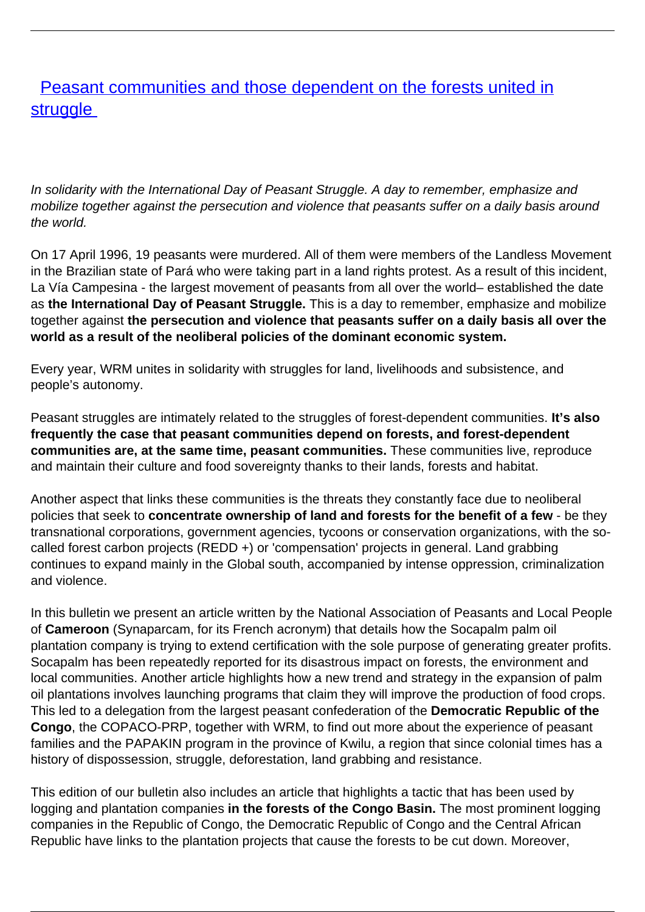## **[Peasant communities and those dependent on the forests united in](/bulletin-articles/peasant-communities-and-those-dependent-on-the-forests-united-in-struggle) [struggle](/bulletin-articles/peasant-communities-and-those-dependent-on-the-forests-united-in-struggle)**

In solidarity with the International Day of Peasant Struggle. A day to remember, emphasize and mobilize together against the persecution and violence that peasants suffer on a daily basis around the world.

On 17 April 1996, 19 peasants were murdered. All of them were members of the Landless Movement in the Brazilian state of Pará who were taking part in a land rights protest. As a result of this incident, La Vía Campesina - the largest movement of peasants from all over the world– established the date as **the International Day of Peasant Struggle.** This is a day to remember, emphasize and mobilize together against **the persecution and violence that peasants suffer on a daily basis all over the world as a result of the neoliberal policies of the dominant economic system.**

Every year, WRM unites in solidarity with struggles for land, livelihoods and subsistence, and people's autonomy.

Peasant struggles are intimately related to the struggles of forest-dependent communities. **It's also frequently the case that peasant communities depend on forests, and forest-dependent communities are, at the same time, peasant communities.** These communities live, reproduce and maintain their culture and food sovereignty thanks to their lands, forests and habitat.

Another aspect that links these communities is the threats they constantly face due to neoliberal policies that seek to **concentrate ownership of land and forests for the benefit of a few** - be they transnational corporations, government agencies, tycoons or conservation organizations, with the socalled forest carbon projects (REDD +) or 'compensation' projects in general. Land grabbing continues to expand mainly in the Global south, accompanied by intense oppression, criminalization and violence.

In this bulletin we present an article written by the National Association of Peasants and Local People of **Cameroon** (Synaparcam, for its French acronym) that details how the Socapalm palm oil plantation company is trying to extend certification with the sole purpose of generating greater profits. Socapalm has been repeatedly reported for its disastrous impact on forests, the environment and local communities. Another article highlights how a new trend and strategy in the expansion of palm oil plantations involves launching programs that claim they will improve the production of food crops. This led to a delegation from the largest peasant confederation of the **Democratic Republic of the Congo**, the COPACO-PRP, together with WRM, to find out more about the experience of peasant families and the PAPAKIN program in the province of Kwilu, a region that since colonial times has a history of dispossession, struggle, deforestation, land grabbing and resistance.

This edition of our bulletin also includes an article that highlights a tactic that has been used by logging and plantation companies **in the forests of the Congo Basin.** The most prominent logging companies in the Republic of Congo, the Democratic Republic of Congo and the Central African Republic have links to the plantation projects that cause the forests to be cut down. Moreover,